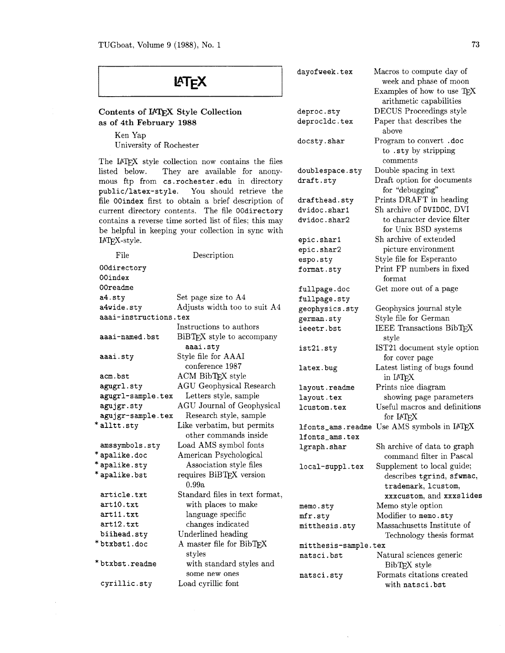| LATEX                                                                                                                                           |                                          | dayofweek.tex                      | Macros to compute day of<br>week and phase of moon<br>Examples of how to use TEX |
|-------------------------------------------------------------------------------------------------------------------------------------------------|------------------------------------------|------------------------------------|----------------------------------------------------------------------------------|
|                                                                                                                                                 |                                          | deproc.sty                         | arithmetic capabilities<br>DECUS Proceedings style                               |
| Contents of IATEX Style Collection                                                                                                              |                                          | deprocldc.tex                      | Paper that describes the                                                         |
| as of 4th February 1988                                                                                                                         |                                          |                                    | above                                                                            |
| Ken Yap<br>University of Rochester                                                                                                              |                                          | docsty.shar                        | Program to convert .doc<br>to .sty by stripping                                  |
| The IATEX style collection now contains the files                                                                                               |                                          |                                    | comments                                                                         |
| listed below.<br>They are available for anony-<br>mous ftp from cs.rochester.edu in directory<br>You should retrieve the<br>public/latex-style. |                                          | doublespace.sty<br>draft.sty       | Double spacing in text<br>Draft option for documents<br>for "debugging"          |
| file 00index first to obtain a brief description of                                                                                             |                                          | drafthead.sty                      | Prints DRAFT in heading                                                          |
| current directory contents. The file 00directory<br>contains a reverse time sorted list of files; this may                                      |                                          | dvidoc.shar1<br>dvidoc.shar2       | Sh archive of DVIDOC, DVI<br>to character device filter                          |
| be helpful in keeping your collection in sync with                                                                                              |                                          |                                    | for Unix BSD systems                                                             |
| IAT <sub>E</sub> X-style.                                                                                                                       |                                          | epic.shar1                         | Sh archive of extended                                                           |
| File                                                                                                                                            | Description                              | epic.shar2                         | picture environment                                                              |
| 00directory                                                                                                                                     |                                          | espo.sty                           | Style file for Esperanto<br>Print FP numbers in fixed                            |
| 00index                                                                                                                                         |                                          | format.sty                         | format                                                                           |
| 00readme                                                                                                                                        |                                          | fullpage.doc                       | Get more out of a page                                                           |
| a4.sty                                                                                                                                          | Set page size to A4                      | fullpage.sty                       |                                                                                  |
| a4wide.sty                                                                                                                                      | Adjusts width too to suit A4             | geophysics.sty                     | Geophysics journal style                                                         |
| aaai-instructions.tex                                                                                                                           |                                          | german.sty                         | Style file for German                                                            |
|                                                                                                                                                 | Instructions to authors                  | ieeetr.bst                         | IEEE Transactions BibTEX                                                         |
| aaai-named.bst                                                                                                                                  | BiBTEX style to accompany                |                                    | style                                                                            |
|                                                                                                                                                 | aaai.sty                                 | ist21.sty                          | IST21 document style option                                                      |
| aaai.sty                                                                                                                                        | Style file for AAAI<br>conference 1987   |                                    | for cover page                                                                   |
| acm.bst                                                                                                                                         | ACM BibTEX style                         | latex.bug                          | Latest listing of bugs found<br>in IATFX                                         |
| agugrl.sty                                                                                                                                      | <b>AGU</b> Geophysical Research          | layout.readme                      | Prints nice diagram                                                              |
| agugrl-sample.tex                                                                                                                               | Letters style, sample                    | layout.tex                         | showing page parameters                                                          |
| agujgr.sty                                                                                                                                      | AGU Journal of Geophysical               | lcustom.tex                        | Useful macros and definitions                                                    |
| agujgr-sample.tex                                                                                                                               | Research style, sample                   |                                    | for IATFX                                                                        |
| *alltt.sty                                                                                                                                      | Like verbatim, but permits               |                                    | lfonts_ams.readme Use AMS symbols in IATEX                                       |
|                                                                                                                                                 | other commands inside                    | lfonts_ams.tex                     |                                                                                  |
| amssymbols.sty                                                                                                                                  | Load AMS symbol fonts                    | lgraph.shar                        | Sh archive of data to graph                                                      |
| *apalike.doc                                                                                                                                    | American Psychological                   |                                    | command filter in Pascal                                                         |
| *apalike.sty                                                                                                                                    | Association style files                  | local-suppl.tex                    | Supplement to local guide;                                                       |
| * apalike.bst                                                                                                                                   | requires BiBTFX version<br>0.99a         |                                    | describes tgrind, sfwmac,<br>trademark, loustom,                                 |
| article.txt                                                                                                                                     | Standard files in text format,           |                                    | xxxcustom, and xxxslides                                                         |
| art10.txt<br>art11.txt                                                                                                                          | with places to make<br>language specific | memo.sty                           | Memo style option                                                                |
| art12.txt                                                                                                                                       | changes indicated                        | mfr.sty                            | Modifier to memo.sty                                                             |
| biihead.sty                                                                                                                                     | Underlined heading                       | mitthesis.sty                      | Massachusetts Institute of                                                       |
| *btxbst1.doc                                                                                                                                    | A master file for BibTEX                 |                                    | Technology thesis format                                                         |
|                                                                                                                                                 | styles                                   | mitthesis-sample.tex<br>natsci.bst | Natural sciences generic                                                         |
| *btxbst.readme                                                                                                                                  | with standard styles and                 |                                    | BibTEX style                                                                     |
|                                                                                                                                                 | some new ones                            | natsci.sty                         | Formats citations created                                                        |

cyrillic.sty Load cyrillic font

 $\sim$ 

with natsci. bst

 $\bar{z}$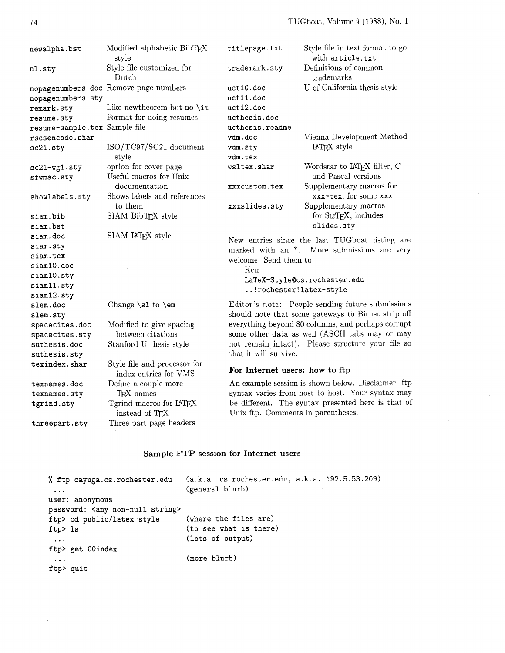| newalpha.bst                  | Modified alphabetic BibTEX<br>style                   | titlepage.txt                      | Style file in text format to go<br>with article.txt                                           |
|-------------------------------|-------------------------------------------------------|------------------------------------|-----------------------------------------------------------------------------------------------|
| nl.sty                        | Style file customized for<br>Dutch                    | trademark.sty                      | Definitions of common<br>trademarks                                                           |
|                               | nopagenumbers.doc Remove page numbers                 | uct10.doc                          | U of California thesis style                                                                  |
| nopagenumbers.sty             |                                                       | uct11.doc                          |                                                                                               |
| remark.sty                    | Like newtheorem but no \it                            | uct12.doc                          |                                                                                               |
| resume.sty                    | Format for doing resumes                              | ucthesis.doc                       |                                                                                               |
| resume-sample.tex Sample file |                                                       | ucthesis.readme                    |                                                                                               |
| rscsencode.shar               |                                                       | vdm.doc                            | Vienna Development Method                                                                     |
| sc21.sty                      | ISO/TC97/SC21 document<br>style                       | vdm.sty<br>vdm.tex                 | IAT <sub>F</sub> X style                                                                      |
| sc21-wg1.sty<br>sfwmac.sty    | option for cover page<br>Useful macros for Unix       | wsltex.shar                        | Wordstar to $\text{IAT}\!\text{E}\text{X}$ filter, $\text{C}$<br>and Pascal versions          |
|                               | documentation                                         | xxxcustom.tex                      | Supplementary macros for                                                                      |
| showlabels.sty                | Shows labels and references                           |                                    | xxx-tex, for some xxx                                                                         |
|                               | to them                                               | xxxslides.sty                      | Supplementary macros                                                                          |
| siam.bib                      | SIAM BibTEX style                                     |                                    | for SLIT <sub>F</sub> X, includes                                                             |
| siam.bst                      |                                                       |                                    | slides.sty                                                                                    |
| siam.doc                      | SIAM IATEX style                                      |                                    |                                                                                               |
| siam.sty                      |                                                       |                                    | New entries since the last TUGboat listing are<br>marked with an *. More submissions are very |
| siam.tex                      |                                                       | welcome. Send them to              |                                                                                               |
| siam10.doc                    |                                                       | Ken                                |                                                                                               |
| siam10.sty                    |                                                       |                                    | LaTeX-Style@cs.rochester.edu                                                                  |
| siam11.sty                    |                                                       | !rochester!latex-style             |                                                                                               |
| siam12.sty                    |                                                       |                                    |                                                                                               |
| slem.doc                      | Change $\s1$ to $\emph{em}$                           |                                    | Editor's note: People sending future submissions                                              |
| slem.sty                      |                                                       |                                    | should note that some gateways to Bitnet strip off                                            |
| spacecites.doc                | Modified to give spacing                              |                                    | everything beyond 80 columns, and perhaps corrupt                                             |
| spacecites.sty                | between citations                                     |                                    | some other data as well (ASCII tabs may or may                                                |
| suthesis.doc                  | Stanford U thesis style                               |                                    | not remain intact). Please structure your file so                                             |
| suthesis.sty                  |                                                       | that it will survive.              |                                                                                               |
| texindex.shar                 | Style file and processor for<br>index entries for VMS | For Internet users: how to ftp     |                                                                                               |
| texnames.doc                  | Define a couple more                                  |                                    | An example session is shown below. Disclaimer: ftp                                            |
| texnames.sty                  | TFX names                                             |                                    | syntax varies from host to host. Your syntax may                                              |
| tgrind.sty                    | Tgrind macros for IATEX<br>instead of TEX             | Unix ftp. Comments in parentheses. | be different. The syntax presented here is that of                                            |
| threepart.sty                 | Three part page headers                               |                                    |                                                                                               |

## **Sample FTP session for Internet users**

```
% ftp cayuga.cs.rochester.edu (a.k.a. cs.rochester.edu, a.k.a. 192.5.53.209) 
... (general blurb)
user: anonymous 
password: <any non-null string><br>ftp> cd public/latex-style (where the files are)
ftp> cd public/latex-style
ftp> 1s (to see what is there)
 ... (lots of output)
ftp> get OOindex 
 ... (more blurb)
ftp> quit
```